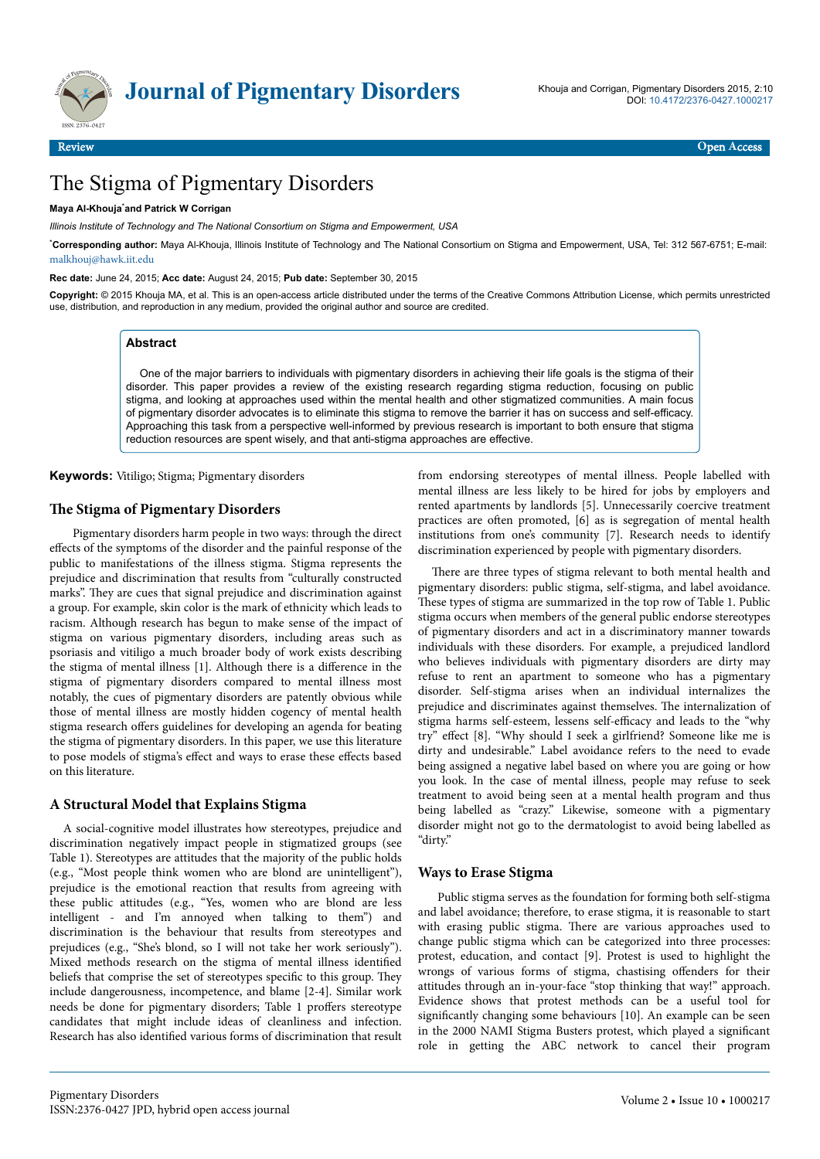

# The Stigma of Pigmentary Disorders

## **Maya Al-Khouja**\***and Patrick W Corrigan**

*Illinois Institute of Technology and The National Consortium on Stigma and Empowerment, USA*

\***Corresponding author:** Maya Al-Khouja, Illinois Institute of Technology and The National Consortium on Stigma and Empowerment, USA, Tel: 312 567-6751; E-mail: [malkhouj@hawk.iit.edu](mailto:malkhouj@hawk.iit.edu)

**Rec date:** June 24, 2015; **Acc date:** August 24, 2015; **Pub date:** September 30, 2015

**Copyright:** © 2015 Khouja MA, et al. This is an open-access article distributed under the terms of the Creative Commons Attribution License, which permits unrestricted use, distribution, and reproduction in any medium, provided the original author and source are credited.

### **Abstract**

One of the major barriers to individuals with pigmentary disorders in achieving their life goals is the stigma of their disorder. This paper provides a review of the existing research regarding stigma reduction, focusing on public stigma, and looking at approaches used within the mental health and other stigmatized communities. A main focus of pigmentary disorder advocates is to eliminate this stigma to remove the barrier it has on success and self-efficacy. Approaching this task from a perspective well-informed by previous research is important to both ensure that stigma reduction resources are spent wisely, and that anti-stigma approaches are effective.

**Keywords:** Vitiligo; Stigma; Pigmentary disorders

## **The Stigma of Pigmentary Disorders**

Pigmentary disorders harm people in two ways: through the direct effects of the symptoms of the disorder and the painful response of the public to manifestations of the illness stigma. Stigma represents the prejudice and discrimination that results from "culturally constructed marks". They are cues that signal prejudice and discrimination against a group. For example, skin color is the mark of ethnicity which leads to racism. Although research has begun to make sense of the impact of stigma on various pigmentary disorders, including areas such as psoriasis and vitiligo a much broader body of work exists describing the stigma of mental illness [1]. Although there is a difference in the stigma of pigmentary disorders compared to mental illness most notably, the cues of pigmentary disorders are patently obvious while those of mental illness are mostly hidden cogency of mental health stigma research offers guidelines for developing an agenda for beating the stigma of pigmentary disorders. In this paper, we use this literature to pose models of stigma's effect and ways to erase these effects based on this literature.

## **A Structural Model that Explains Stigma**

A social-cognitive model illustrates how stereotypes, prejudice and discrimination negatively impact people in stigmatized groups (see Table 1). Stereotypes are attitudes that the majority of the public holds (e.g., "Most people think women who are blond are unintelligent"), prejudice is the emotional reaction that results from agreeing with these public attitudes (e.g., "Yes, women who are blond are less intelligent - and I'm annoyed when talking to them") and discrimination is the behaviour that results from stereotypes and prejudices (e.g., "She's blond, so I will not take her work seriously"). Mixed methods research on the stigma of mental illness identified beliefs that comprise the set of stereotypes specific to this group. They include dangerousness, incompetence, and blame [2-4]. Similar work needs be done for pigmentary disorders; Table 1 proffers stereotype candidates that might include ideas of cleanliness and infection. Research has also identified various forms of discrimination that result from endorsing stereotypes of mental illness. People labelled with mental illness are less likely to be hired for jobs by employers and rented apartments by landlords [5]. Unnecessarily coercive treatment practices are often promoted, [6] as is segregation of mental health institutions from one's community [7]. Research needs to identify discrimination experienced by people with pigmentary disorders.

There are three types of stigma relevant to both mental health and pigmentary disorders: public stigma, self-stigma, and label avoidance. These types of stigma are summarized in the top row of Table 1. Public stigma occurs when members of the general public endorse stereotypes of pigmentary disorders and act in a discriminatory manner towards individuals with these disorders. For example, a prejudiced landlord who believes individuals with pigmentary disorders are dirty may refuse to rent an apartment to someone who has a pigmentary disorder. Self-stigma arises when an individual internalizes the prejudice and discriminates against themselves. Нe internalization of stigma harms self-esteem, lessens self-efficacy and leads to the "why try" effect [8]. "Why should I seek a girlfriend? Someone like me is dirty and undesirable." Label avoidance refers to the need to evade being assigned a negative label based on where you are going or how you look. In the case of mental illness, people may refuse to seek treatment to avoid being seen at a mental health program and thus being labelled as "crazy." Likewise, someone with a pigmentary disorder might not go to the dermatologist to avoid being labelled as "dirty."

### **Ways to Erase Stigma**

Public stigma serves as the foundation for forming both self-stigma and label avoidance; therefore, to erase stigma, it is reasonable to start with erasing public stigma. Нere are various approaches used to change public stigma which can be categorized into three processes: protest, education, and contact [9]. Protest is used to highlight the wrongs of various forms of stigma, chastising offenders for their attitudes through an in-your-face "stop thinking that way!" approach. Evidence shows that protest methods can be a useful tool for significantly changing some behaviours [10]. An example can be seen in the 2000 NAMI Stigma Busters protest, which played a significant role in getting the ABC network to cancel their program